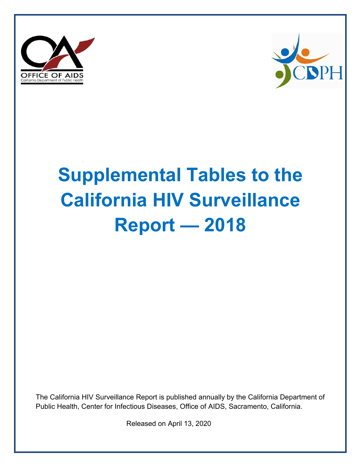



# **Supplemental Tables to the California HIV Surveillance Report — 2018**

The California HIV Surveillance Report is published annually by the California Department of Public Health, Center for Infectious Diseases, Office of AIDS, Sacramento, California.

Released on April 13, 2020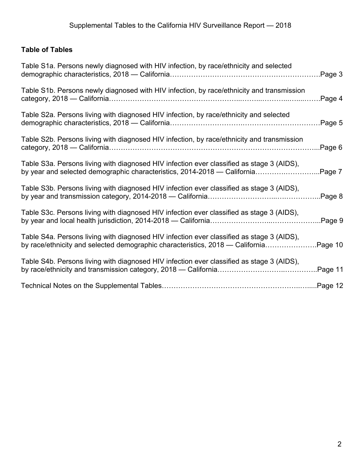## **Table of Tables**

| Table S1a. Persons newly diagnosed with HIV infection, by race/ethnicity and selected                                                                                      | Page 3.  |
|----------------------------------------------------------------------------------------------------------------------------------------------------------------------------|----------|
| Table S1b. Persons newly diagnosed with HIV infection, by race/ethnicity and transmission                                                                                  | Page 4   |
| Table S2a. Persons living with diagnosed HIV infection, by race/ethnicity and selected                                                                                     | Page 5   |
| Table S2b. Persons living with diagnosed HIV infection, by race/ethnicity and transmission                                                                                 | Page 6   |
| Table S3a. Persons living with diagnosed HIV infection ever classified as stage 3 (AIDS),<br>by year and selected demographic characteristics, 2014-2018 — California      | Page 7   |
| Table S3b. Persons living with diagnosed HIV infection ever classified as stage 3 (AIDS),                                                                                  | Page 8   |
| Table S3c. Persons living with diagnosed HIV infection ever classified as stage 3 (AIDS),                                                                                  | Page 9   |
| Table S4a. Persons living with diagnosed HIV infection ever classified as stage 3 (AIDS),<br>by race/ethnicity and selected demographic characteristics, 2018 — California | Page 10  |
| Table S4b. Persons living with diagnosed HIV infection ever classified as stage 3 (AIDS),                                                                                  | Page 11. |
|                                                                                                                                                                            |          |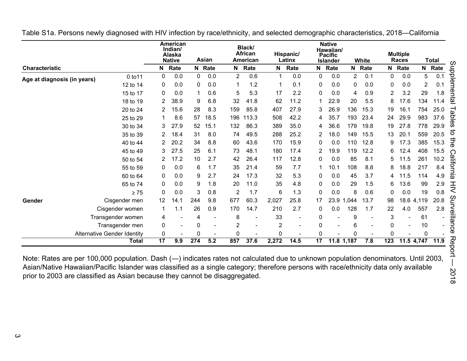|                             |                                    |                 | American<br>Indian/<br>Alaska<br><b>Native</b> |     | Asian  |                | Black/<br><b>African</b><br>American |                 | Hispanic/<br>Latinx |                | <b>Native</b><br>Hawaiian/<br><b>Pacific</b><br><b>Islander</b> |            | White  |          | <b>Multiple</b><br>Races |              | <b>Total</b> |
|-----------------------------|------------------------------------|-----------------|------------------------------------------------|-----|--------|----------------|--------------------------------------|-----------------|---------------------|----------------|-----------------------------------------------------------------|------------|--------|----------|--------------------------|--------------|--------------|
| Characteristic              |                                    | N               | Rate                                           |     | N Rate |                | N Rate                               | N               | Rate                | N              | Rate                                                            |            | N Rate | N        | Rate                     | N            | Rate         |
| Age at diagnosis (in years) | 0 to 11                            | 0               | 0.0                                            | 0   | 0.0    | $\overline{2}$ | 0.6                                  | 1               | 0.0                 | 0              | 0.0                                                             | 2          | 0.1    | 0        | 0.0                      | 5            | 0.1          |
|                             | 12 to 14                           | 0               | 0.0                                            | 0   | 0.0    | 1              | 1.2                                  | 1               | 0.1                 | 0              | 0.0                                                             | 0          | 0.0    | 0        | 0.0                      | $\mathbf{2}$ | 0.1          |
|                             | 15 to 17                           | 0               | 0.0                                            | 1   | 0.6    | 5              | 5.3                                  | 17              | 2.2                 | $\Omega$       | 0.0                                                             | 4          | 0.9    | 2        | 3.2                      | 29           | 1.8          |
|                             | 18 to 19                           | 2               | 38.9                                           | 9   | 6.8    | 32             | 41.8                                 | 62              | 11.2                |                | 22.9                                                            | 20         | 5.5    | 8        | 17.6                     | 134          | 11<br>.4     |
|                             | 20 to 24                           | 2               | 15.6                                           | 28  | 8.3    | 159            | 85.8                                 | 407             | 27.9                | 3              | 26.9                                                            | 136        | 15.3   | 19       | 16.1                     | 754          | 25.0         |
|                             | 25 to 29                           | 1               | 8.6                                            | 57  | 18.5   | 196            | 113.3                                | 508             | 42.2                | 4              | 35.7                                                            | 193        | 23.4   | 24       | 29.9                     | 983          | 37.6         |
|                             | 30 to 34                           | 3               | 27.9                                           | 52  | 15.1   | 132            | 86.3                                 | 389             | 35.0                | 4              | 36.6                                                            | 179        | 19.8   | 19       | 27.8                     | 778          | 29.9         |
|                             | 35 to 39                           | 2               | 18.4                                           | 31  | 8.0    | 74             | 49.5                                 | 288             | 25.2                | $\overline{2}$ | 18.0                                                            | 149        | 15.5   | 13       | 20.1                     | 559          | 20.5         |
|                             | 40 to 44                           | 2               | 20.2                                           | 34  | 8.8    | 60             | 43.6                                 | 170             | 15.9                | 0              | 0.0                                                             | 110        | 12.8   | 9        | 17.3                     | 385          | 15.3         |
|                             | 45 to 49                           | 3               | 27.5                                           | 25  | 6.1    | 73             | 48.1                                 | 180             | 17.4                | 2              | 19.9                                                            | 119        | 12.2   | 6        | 12.4                     | 408          | 15.5         |
|                             | 50 to 54                           | 2               | 17.2                                           | 10  | 2.7    | 42             | 26.4                                 | 117             | 12.8                | 0              | 0.0                                                             | 85         | 8.1    | 5        | 11.5                     | 261          | 10.2         |
|                             | 55 to 59                           | 0               | 0.0                                            | 6   | 1.7    | 35             | 21.4                                 | 59              | 7.7                 |                | 10.1                                                            | 108        | 8.8    | 8        | 18.8                     | 217          | 8.4          |
|                             | 60 to 64                           | 0               | 0.0                                            | 9   | 2.7    | 24             | 17.3                                 | 32              | 5.3                 | 0              | 0.0                                                             | 45         | 3.7    | 4        | 11.5                     | 114          | 4.9          |
|                             | 65 to 74                           | 0               | 0.0                                            | 9   | 1.8    | 20             | 11.0                                 | 35              | 4.8                 | $\Omega$       | 0.0                                                             | 29         | 1.5    | 6        | 13.6                     | 99           | 2.9          |
|                             | $\geq 75$                          | 0               | 0.0                                            | 3   | 0.8    | $\overline{2}$ | 1.7                                  | $6\phantom{1}6$ | 1.3                 | $\mathbf 0$    | 0.0                                                             | 8          | 0.6    | 0        | 0.0                      | 19           | 0.8          |
| Gender                      | Cisgender men                      | 12              | 14.1                                           | 244 | 9.8    | 677            | 60.3                                 | 2,027           | 25.8                | 17             |                                                                 | 23.9 1,044 | 13.7   | 98       |                          | 18.6 4,119   | 20.8         |
|                             | Cisgender women                    | 1               | 1.1                                            | 26  | 0.9    | 170            | 14.7                                 | 210             | 2.7                 | 0              | 0.0                                                             | 128        | 1.7    | 22       | 4.0                      | 557          | 2.8          |
|                             | Transgender women                  | 4               |                                                | 4   |        | 8              |                                      | 33              |                     | 0              |                                                                 | 9          |        | 3        |                          | 61           |              |
|                             | Transgender men                    | 0               |                                                | 0   |        | 2              |                                      | 2               |                     | 0              |                                                                 | 6          |        | 0        |                          | 10           |              |
|                             | <b>Alternative Gender Identity</b> | 0               |                                                | 0   |        | 0              |                                      | 0               |                     | በ              |                                                                 | O          |        | $\Omega$ |                          | $\mathbf{0}$ |              |
|                             | <b>Total</b>                       | $\overline{17}$ | 9.9                                            | 274 | 5.2    | 857            | 37.6                                 | 2,272           | 14.5                | 17             |                                                                 | 11.8 1,187 | 7.8    | 123      |                          | 11.5 4,747   | 11.9         |

<span id="page-2-0"></span>Table S1a. Persons newly diagnosed with HIV infection by race/ethnicity, and selected demographic characteristics, 2018—California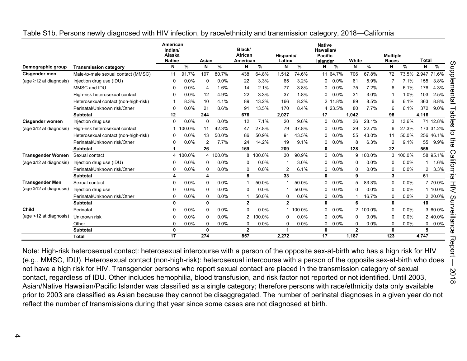|                              |                                      | American<br>Indian/<br>Alaska<br><b>Native</b> |        | Asian          |          | Black/<br>African<br>American |          | Hispanic/<br>Latinx |          | <b>Native</b><br>Hawaiian/<br><b>Pacific</b><br>Islander |          | White        |          | <b>Multiple</b><br>Races |          | <b>Total</b>      |           |
|------------------------------|--------------------------------------|------------------------------------------------|--------|----------------|----------|-------------------------------|----------|---------------------|----------|----------------------------------------------------------|----------|--------------|----------|--------------------------|----------|-------------------|-----------|
| Demographic group            | <b>Transmission category</b>         | N                                              | %      | N              | %        | N                             | $\%$     | N                   | %        | N                                                        | $\%$     | N            | %        | N                        | %        | N                 | %         |
| Cisgender men                | Male-to-male sexual contact (MMSC)   | 11                                             | 91.7%  | 197            | 80.7%    | 438                           | 64.8%    | 1,512               | 74.6%    |                                                          | 11 64.7% | 706          | 67.8%    | 72                       |          | 73.5% 2,947 71.6% |           |
| (age $\geq$ 12 at diagnosis) | Injection drug use (IDU)             | $\Omega$                                       | 0.0%   | $\Omega$       | 0.0%     | 22                            | 3.3%     | 65                  | 3.2%     | 0                                                        | 0.0%     | 61           | 5.9%     |                          | 7.1%     | 155               | 3.8%      |
|                              | MMSC and IDU                         | 0                                              | 0.0%   | 4              | 1.6%     | 14                            | 2.1%     | 77                  | 3.8%     | 0                                                        | 0.0%     | 75           | 7.2%     | 6                        | 6.1%     | 176               | 4.3%      |
|                              | High-risk heterosexual contact       | 0                                              | 0.0%   | 12             | 4.9%     | 22                            | 3.3%     | 37                  | 1.8%     | 0                                                        | $0.0\%$  | 31           | 3.0%     |                          | 1.0%     | 103               | 2.5%      |
|                              | Heterosexual contact (non-high-risk) |                                                | 8.3%   | 10             | 4.1%     | 89                            | 13.2%    | 166                 | 8.2%     |                                                          | 2 11.8%  | 89           | 8.5%     | 6                        | 6.1%     | 363               | 8.8%      |
|                              | Perinatal/Unknown risk/Other         | 0                                              | 0.0%   | 21             | 8.6%     | 91                            | 13.5%    | 170                 | 8.4%     |                                                          | 4 23.5%  | 80           | 7.7%     | 6                        | 6.1%     | 372               | $9.0\%$   |
|                              | <b>Subtotal</b>                      | 12                                             |        | 244            |          | 676                           |          | 2,027               |          | 17                                                       |          | 1.042        |          | 98                       |          | 4,116             |           |
| <b>Cisgender women</b>       | Injection drug use                   | 0                                              | 0.0%   | 0              | 0.0%     | 12                            | 7.1%     | 20                  | 9.6%     | 0                                                        | $0.0\%$  | 36           | 28.1%    | 3                        | 13.6%    |                   | 71 12.8%  |
| (age ≥12 at diagnosis)       | High-risk heterosexual contact       | 1                                              | 100.0% | 11             | 42.3%    | 47                            | 27.8%    | 79                  | 37.8%    | 0                                                        | 0.0%     | 29           | 22.7%    | 6                        | 27.3%    | 173 31.2%         |           |
|                              | Heterosexual contact (non-high-risk) | 0                                              | 0.0%   | 13             | 50.0%    | 86                            | 50.9%    | 91                  | 43.5%    | 0                                                        | 0.0%     | 55           | 43.0%    | 11                       | 50.0%    | 256 46.1%         |           |
|                              | Perinatal/Unknown risk/Other         | $\Omega$                                       | 0.0%   | $\overline{2}$ | 7.7%     | 24                            | 14.2%    | 19                  | 9.1%     | 0                                                        | 0.0%     | 8            | 6.3%     | 2                        | 9.1%     | 55                | 9.9%      |
|                              | <b>Subtotal</b>                      | $\mathbf{1}$                                   |        | 26             |          | 169                           |          | 209                 |          | 0                                                        |          | 128          |          | 22                       |          | 555               |           |
| <b>Transgender Women</b>     | Sexual contact                       | 4                                              | 100.0% |                | 4 100.0% |                               | 8 100.0% | 30                  | 90.9%    | 0                                                        | 0.0%     | 9            | 100.0%   |                          | 3 100.0% |                   | 58 95.1%  |
| (age $\geq$ 12 at diagnosis) | Injection drug use (IDU)             | 0                                              | 0.0%   | 0              | 0.0%     | 0                             | 0.0%     |                     | 3.0%     | 0                                                        | 0.0%     | $\Omega$     | 0.0%     | $\Omega$                 | 0.0%     | $\mathbf{1}$      | 1.6%      |
|                              | Perinatal/Unknown risk/Other         | 0                                              | 0.0%   | 0              | 0.0%     | 0                             | 0.0%     | 2                   | 6.1%     | 0                                                        | $0.0\%$  | $\Omega$     | 0.0%     | 0                        | 0.0%     | $\overline{2}$    | 3.3%      |
|                              | <b>Subtotal</b>                      | 4                                              |        | 4              |          | 8                             |          | 33                  |          | $\mathbf{0}$                                             |          | 9            |          | 3                        |          | 61                |           |
| <b>Transgender Men</b>       | Sexual contact                       | 0                                              | 0.0%   | 0              | 0.0%     |                               | 50.0%    |                     | 50.0%    | 0                                                        | 0.0%     | 5            | 83.3%    | 0                        | 0.0%     |                   | 7 70.0%   |
| (age $\geq$ 12 at diagnosis) | Injection drug use                   | 0                                              | 0.0%   | $\Omega$       | 0.0%     | 0                             | 0.0%     |                     | 50.0%    | 0                                                        | 0.0%     | $\Omega$     | 0.0%     | $\Omega$                 | 0.0%     |                   | 1 10.0%   |
|                              | Perinatal/Unknown risk/Other         | $\Omega$                                       | 0.0%   | $\Omega$       | 0.0%     |                               | 50.0%    | $\Omega$            | 0.0%     | $\mathbf{0}$                                             | 0.0%     | -1           | 16.7%    | 0                        | 0.0%     |                   | 2 20.0%   |
|                              | <b>Subtotal</b>                      | $\mathbf 0$                                    |        | 0              |          | $\overline{2}$                |          | $\overline{2}$      |          | $\mathbf{0}$                                             |          | 6            |          | 0                        |          | 10                |           |
| Child                        | Perinatal                            | $\mathbf 0$                                    | 0.0%   | 0              | 0.0%     | 0                             | 0.0%     |                     | 1 100.0% | 0                                                        | 0.0%     |              | 2 100.0% | 0                        | 0.0%     |                   | 3 60.0%   |
| (age <12 at diagnosis)       | Unknown risk                         | 0                                              | 0.0%   | $\Omega$       | 0.0%     |                               | 2 100.0% | 0                   | 0.0%     | 0                                                        | 0.0%     | $\Omega$     | 0.0%     | $\Omega$                 | 0.0%     |                   | 2 40.0%   |
|                              | Other                                | $\Omega$                                       | 0.0%   | $\Omega$       | 0.0%     | 0                             | 0.0%     | 0                   | 0.0%     | 0                                                        | 0.0%     | $\Omega$     | 0.0%     | $\Omega$                 | 0.0%     |                   | $0 0.0\%$ |
|                              | Subtotal                             | $\mathbf 0$                                    |        | $\mathbf{0}$   |          | $\overline{2}$                |          | 1                   |          | 0                                                        |          | $\mathbf{2}$ |          | 0                        |          | 5                 |           |
|                              | <b>Total</b>                         | 17                                             |        | 274            |          | 857                           |          | 2,272               |          | 17                                                       |          | 1,187        |          | 123                      |          | 4,747             |           |

#### <span id="page-3-0"></span>Table S1b. Persons newly diagnosed with HIV infection, by race/ethnicity and transmission category, 2018—California

Note: High-risk heterosexual contact: heterosexual intercourse with a person of the opposite sex-at-birth who has a high risk for HIV (e.g., MMSC, IDU). Heterosexual contact (non-high-risk): heterosexual intercourse with a person of the opposite sex-at-birth who does not have a high risk for HIV. Transgender persons who report sexual contact are placed in the transmission category of sexual contact, regardless of IDU. Other includes hemophilia, blood transfusion, and risk factor not reported or not identified. Until 2003, Asian/Native Hawaiian/Pacific Islander was classified as a single category; therefore persons with race/ethnicity data only available prior to 2003 are classified as Asian because they cannot be disaggregated. The number of perinatal diagnoses in a given year do not reflect the number of transmissions during that year since some cases are not diagnosed at birth.

8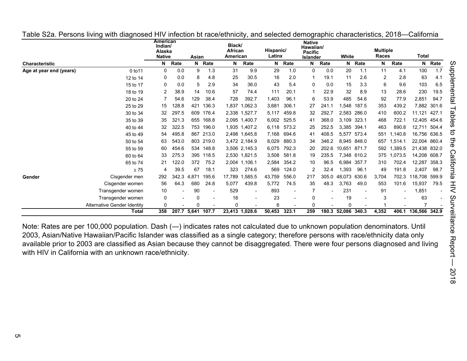|                         |                                    | American<br>Indian/<br>Alaska<br><b>Native</b> |                   | Asian    |                          | Black/<br><b>African</b><br>American |                          | Hispanic/<br>Latinx |                | <b>Native</b><br>Hawaiian/<br><b>Pacific</b><br><b>Islander</b> |       | White        |             | <b>Multiple</b><br>Races |         | Total         |             |
|-------------------------|------------------------------------|------------------------------------------------|-------------------|----------|--------------------------|--------------------------------------|--------------------------|---------------------|----------------|-----------------------------------------------------------------|-------|--------------|-------------|--------------------------|---------|---------------|-------------|
| <b>Characteristic</b>   |                                    | N                                              | Rate              |          | N Rate                   | N                                    | Rate                     | N                   | Rate           | N                                                               | Rate  |              | N Rate      | N                        | Rate    |               | N Rate      |
| Age at year end (years) | 0 to 11                            | 0                                              | 0.0               | 9        | 1.3                      | 31                                   | 9.9                      | 29                  | 1.0            | $\mathbf{0}$                                                    | 0.0   | 20           | 1.1         | 11                       | 4.1     | 100           | 1.7         |
|                         | 12 to 14                           | 0                                              | 0.0               | 8        | 4.8                      | 25                                   | 30.5                     | 16                  | 2.0            |                                                                 | 19.1  | 11           | 2.6         | $\overline{2}$           | 2.8     | 63            | 4.1         |
|                         | 15 to 17                           | 0                                              | 0.0               | 5        | 2.9                      | 34                                   | 36.0                     | 43                  | 5.4            | $\mathbf{0}$                                                    | 0.0   | 15           | 3.3         | 6                        | 9.6     | 103           | 6.5         |
|                         | 18 to 19                           | 2                                              | 38.9              | 14       | 10.6                     | 57                                   | 74.4                     | 111                 | 20.1           |                                                                 | 22.9  | 32           | 8.9         | 13                       | 28.6    | 230           | 19.5        |
|                         | 20 to 24                           |                                                | 54.6              | 129      | 38.4                     | 728                                  | 392.7                    | 1,403               | 96.1           | 6                                                               | 53.9  | 485          | 54.6        | 92                       | 77.9    | 2,851         | 94.7        |
|                         | 25 to 29                           | 15                                             | 128.8             | 421      | 136.3                    | 1,837                                | 1,062.3                  | 3,681               | 306.1          | 27                                                              | 241.1 | ,548         | 187.5       | 353                      | 439.2   |               | 7,882 301.6 |
|                         | 30 to 34                           | 32                                             | 297.5             |          | 609 176.4                |                                      | 2,338 1,527.7            | 5,117               | 459.8          | 32                                                              | 292.7 |              | 2,583 286.0 | 410                      | 600.2   | 11,121        | 427.1       |
|                         | 35 to 39                           | 35                                             | 321.3             |          | 655 168.8                |                                      | 2,095 1,400.7            | 6,002               | 525.5          | 41                                                              | 368.0 | 3.109 323.1  |             | 468                      | 722.1   | 12,405 454.6  |             |
|                         | 40 to 44                           | 32                                             | 322.5             |          | 753 196.0                |                                      | 1,935 1,407.2            |                     | 6,118 573.2    | 25                                                              | 252.5 | 3.385 394.1  |             | 463                      | 890.8   | 12,711 504.4  |             |
|                         | 45 to 49                           | 54                                             | 495.8             |          | 867 213.0                |                                      | 2,498 1,645.8            | 7,168               | 694.6          | 41                                                              | 408.5 |              | 5,577 573.4 | 551                      | ,140.8  | 16,756 636.5  |             |
|                         | 50 to 54                           | 63                                             | 543.0             |          | 803 219.0                |                                      | 3,472 2,184.9            | 8,029               | 880.3          | 34                                                              | 346.2 |              | 8,945 848.0 | 657                      | 1,514.1 | 22,004 860.4  |             |
|                         | 55 to 59                           | 60                                             | 454.6             |          | 534 148.8                |                                      | 3,506 2,145.3            | 6,075               | 792.3          | 20                                                              | 202.6 | 10,651       | 871.7       | 592                      | 1,389.5 | 21,438 832.0  |             |
|                         | 60 to 64                           | 33                                             | 275.3             |          | 395 118.5                |                                      | 2,530 1,821.5            | 3,508               | 581.8          | 19                                                              | 235.5 |              | 7,348 610.2 | 375                      | 1,073.5 | 14,208 608.7  |             |
|                         | 65 to 74                           | 21                                             | 122.0             | 372      | 75.2                     | 2,004                                | 1,106.1                  | 2,584               | 354.2          | 10                                                              | 96.5  | 6.984        | 357.7       | 310                      | 702.4   | 12,287        | 358.3       |
|                         | $\geq 75$                          | 4                                              | 39.5              | 67       | 18.1                     | 323                                  | 274.6                    | 569                 | 124.0          |                                                                 | 32.4  | 1,393        | 96.1        | 49                       | 191.8   | 2,407         | 98.7        |
| Gender                  | Cisgender men                      | 292                                            | 342.3             | 4.871    | 195.6                    | 17,789                               | .585.5                   | 43,759              | 556.0          | 217                                                             | 305.0 | 48.073       | 630.6       | 3,704                    | 702.3   | 118,708       | 599.9       |
|                         | Cisgender women                    | 56                                             | 64.3              | 680      | 24.8                     | 5,077                                | 439.8                    | 5,772               | 74.5           | 35                                                              | 48.3  | 3,763        | 49.0        | 553                      | 101.6   | 15,937        | 79.5        |
|                         | Transgender women                  | 10                                             |                   | 90       | $\overline{\phantom{a}}$ | 529                                  | $\overline{\phantom{a}}$ | 893                 | $\blacksquare$ |                                                                 |       | 231          |             | 91                       |         | 1,851         |             |
|                         | Transgender women                  | 0                                              |                   | $\Omega$ |                          | 18                                   |                          | 23                  |                | 0                                                               |       | 19           |             | 3                        |         | 63            |             |
|                         | <b>Alternative Gender Identity</b> | 0                                              |                   | U        |                          | $\mathbf 0$                          |                          | 6                   |                | 0                                                               |       | 0            |             |                          |         |               |             |
|                         | Total                              | 358                                            | 207.7 5,641 107.7 |          |                          |                                      | 23,413 1,028.6           | 50,453              | 323.1          | 259                                                             | 180.3 | 52,086 340.3 |             | 4,352                    | 406.1   | 136,566 342.9 |             |

<span id="page-4-0"></span>Table S2a. Persons living with diagnosed HIV infection bt race/ethnicity, and selected demographic characteristics, 2018—California

Note: Rates are per 100,000 population. Dash (—) indicates rates not calculated due to unknown population denominators. Until 2003, Asian/Native Hawaiian/Pacific Islander was classified as a single category; therefore persons with race/ethnicity data only available prior to 2003 are classified as Asian because they cannot be disaggregated. There were four persons diagnosed and living with HIV in California with an unknown race/ethnicity.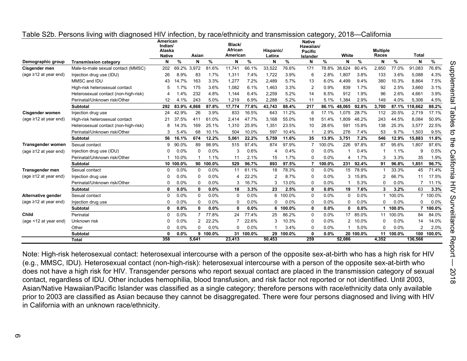|                             |                                      | American<br>Indian/<br>Alaska |           | Asian          |           | Black/<br>African<br>American |        | Hispanic/      |        | <b>Native</b><br>Hawaiian/<br><b>Pacific</b> |        | White          |           | <b>Multiple</b><br>Races |        | <b>Total</b>   |          |
|-----------------------------|--------------------------------------|-------------------------------|-----------|----------------|-----------|-------------------------------|--------|----------------|--------|----------------------------------------------|--------|----------------|-----------|--------------------------|--------|----------------|----------|
| Demographic group           | <b>Transmission category</b>         | <b>Native</b><br>N            | %         | N              | %         | N                             | %      | Latinx<br>N    | $\%$   | Islander<br>N                                | %      | N              | $\%$      | N                        | %      | N              | %        |
| Cisgender men               | Male-to-male sexual contact (MMSC)   | 202                           | 69.2%     | 3.972          | 81.6%     | 11.741                        | 66.1%  | 33,522         | 76.6%  | 171                                          | 78.8%  | 38.624         | 80.4%     | 2.850                    | 77.0%  | 91.083         | 76.8%    |
| (age $\geq$ 12 at year end) | Injection drug use (IDU)             | 26                            | 8.9%      | 83             | 1.7%      | 1,311                         | 7.4%   | 1,722          | 3.9%   | 6                                            | 2.8%   | 1,807          | 3.8%      | 133                      | 3.6%   | 5,088          | 4.3%     |
|                             | MMSC and IDU                         | 43                            | 14.7%     | 163            | 3.3%      | 1,277                         | 7.2%   | 2.489          | 5.7%   | 13                                           | 6.0%   | 4.499          | 9.4%      | 380                      | 10.3%  | 8.864          | 7.5%     |
|                             | High-risk heterosexual contact       |                               | 1.7%      | 175            | 3.6%      | 1.082                         | 6.1%   | 1,463          | 3.3%   | 2                                            | 0.9%   | 839            | 1.7%      | 92                       | 2.5%   | 3.660          | 3.1%     |
|                             | Heterosexual contact (non-high-risk) |                               | .4%       | 232            | 4.8%      | 1.144                         | 6.4%   | 2,259          | 5.2%   | 14                                           | 6.5%   | 912            | 1.9%      | 96                       | 2.6%   | 4,661          | 3.9%     |
|                             | Perinatal/Unknown risk/Other         | 12                            | 4.1%      | 243            | 5.0%      | 1,219                         | 6.9%   | 2,288          | 5.2%   | 11                                           | 5.1%   | 1,384          | 2.9%      | 149                      | 4.0%   | 5.306          | 4.5%     |
|                             | <b>Subtotal</b>                      | 292                           | 83.9%     | 4,868          | 87.8%     | 17,774                        | 77.8%  | 43,743         | 88.4%  | 217                                          | 86.1%  | 48,065         | 92.8%     | 3,700                    | 87.1%  | 118.662        | 88.2%    |
| Cisgender women             | Injection drug use                   | 24                            | 42.9%     | 26             | 3.9%      | 833                           | 16.5%  | 643            | 11.2%  | 6                                            | 17.1%  | 1.075          | 28.7%     | 112                      | 20.5%  | 2,719          | 17.1%    |
| (age $\geq$ 12 at year end) | High-risk heterosexual contact       | 21                            | 37.5%     | 411            | 61.0%     | 2.414                         | 47.7%  | 3,168          | 55.0%  | 18                                           | 51.4%  | 1.809          | 48.2%     | 243                      | 44.5%  | 8.084          | 50.9%    |
|                             | Heterosexual contact (non-high-risk) |                               | 4.3%      | 169            | 25.1%     | 1,310                         | 25.9%  | 1,351          | 23.5%  | 10                                           | 28.6%  | 591            | 15.8%     | 138                      | 25.3%  | 3,577          | 22.5%    |
|                             | Perinatal/Unknown risk/Other         |                               | 5.4%      | 68             | 10.1%     | 504                           | 10.0%  | 597            | 10.4%  |                                              | 2.9%   | 276            | 7.4%      | 53                       | 9.7%   | 1,503          | 9.5%     |
|                             | <b>Subtotal</b>                      | 56                            | 16.1%     | 674            | 12.2%     | 5,061                         | 22.2%  | 5,759          | 11.6%  | 35                                           | 13.9%  | 3,751          | 7.2%      | 546                      | 12.9%  | 15,883         | 11.8%    |
| Transgender women           | Sexual contact                       | g                             | 90.0%     | 89             | 98.9%     | 515                           | 97.4%  | 874            | 97.9%  | $\overline{7}$                               | 100.0% | 226            | 97.8%     | 87                       | 95.6%  | 1.807          | 97.6%    |
| (age $\geq$ 12 at year end) | Injection drug use (IDU)             |                               | 0.0%      | $\Omega$       | 0.0%      | 3                             | 0.6%   | 4              | 0.4%   | 0                                            | 0.0%   |                | 0.4%      |                          | 1.1%   | 9              | 0.5%     |
|                             | Perinatal/Unknown risk/Other         |                               | 10.0%     |                | 1.1%      | 11                            | 2.1%   | 15             | 1.7%   | 0                                            | 0.0%   |                | 1.7%      | 3                        | 3.3%   | 35             | 1.9%     |
|                             | <b>Subtotal</b>                      |                               | 10 100.0% |                | 90 100.0% | 529                           | 96.7%  | 893            | 97.5%  | $\overline{7}$                               | 100.0% | 231            | 92.4%     | 91                       | 96.8%  | 1.851          | 96.7%    |
| <b>Transgender men</b>      | Sexual contact                       | ∩                             | 0.0%      | $\Omega$       | 0.0%      | 11                            | 61.1%  | 18             | 78.3%  | 0                                            | 0.0%   | 15             | 78.9%     |                          | 33.3%  | 45             | 71.4%    |
| (age $\geq$ 12 at year end) | Injection drug use                   |                               | 0.0%      | $\Omega$       | 0.0%      | 4                             | 22.2%  | $\overline{2}$ | 8.7%   | 0                                            | 0.0%   | 3              | 15.8%     | 2                        | 66.7%  | 11             | 17.5%    |
|                             | Perinatal/Unknown risk/Other         |                               | 0.0%      | $\Omega$       | 0.0%      | 3                             | 16.7%  | 3              | 13.0%  | 0                                            | 0.0%   |                | 5.3%      | 0                        | 0.0%   |                | 11.1%    |
|                             | <b>Subtotal</b>                      | ŋ                             | 0.0%      | 0              | 0.0%      | 18                            | 3.3%   | 23             | 2.5%   | 0                                            | 0.0%   | 19             | 7.6%      | 3                        | 3.2%   | 63             | 3.3%     |
| Alternative gender          | Sexual contact                       |                               | 0.0%      | $\Omega$       | 0.0%      | 0                             | 0.0%   | 6              | 100.0% | 0                                            | 0.0%   | $\Omega$       | 0.0%      | 1                        | 100.0% |                | 7 100.0% |
| (age $\geq$ 12 at year end) | Injection drug use                   |                               | 0.0%      | 0              | 0.0%      | 0                             | 0.0%   | $\Omega$       | 0.0%   | 0                                            | 0.0%   | $\Omega$       | 0.0%      | 0                        | 0.0%   | 0              | 0.0%     |
|                             | <b>Subtotal</b>                      | $\Omega$                      | 0.0%      | $\mathbf{0}$   | 0.0%      | 0                             | 0.0%   | 6              | 100.0% | 0                                            | 0.0%   | $\mathbf{0}$   | 0.0%      |                          | 100.0% | 7              | 100.0%   |
| Child                       | Perinatal                            |                               | 0.0%      | 7              | 77.8%     | 24                            | 77.4%  | 25             | 86.2%  | 0                                            | 0.0%   | 17             | 85.0%     | 11                       | 100.0% | 84             | 84.0%    |
| (age <12 at year end)       | Unknown risk                         |                               | 0.0%      | $\overline{2}$ | 22.2%     |                               | 22.6%  | 3              | 10.3%  | 0                                            | 0.0%   | $\overline{2}$ | 10.0%     | 0                        | 0.0%   | 14             | 14.0%    |
|                             | Other                                |                               | 0.0%      | U              | 0.0%      | 0                             | 0.0%   |                | 3.4%   | 0                                            | 0.0%   |                | 5.0%      | 0                        | 0.0%   | $\overline{2}$ | 2.0%     |
|                             | <b>Subtotal</b>                      |                               | 0.0%      | 9              | 100.0%    | 31                            | 100.0% | 29             | 100.0% | 0                                            | 0.0%   |                | 20 100.0% | 11                       | 100.0% | 100            | 100.0%   |
|                             | <b>Total</b>                         | 358                           |           | 5,641          |           | 23,413                        |        | 50,453         |        | 259                                          |        | 52,086         |           | 4,352                    |        | 136,566        |          |

#### <span id="page-5-0"></span>Table S2b. Persons living with diagnosed HIV infection, by race/ethnicity and transmission category, 2018—California

Note: High-risk heterosexual contact: heterosexual intercourse with a person of the opposite sex-at-birth who has a high risk for HIV (e.g., MMSC, IDU). Heterosexual contact (non-high-risk): heterosexual intercourse with a person of the opposite sex-at-birth who does not have a high risk for HIV. Transgender persons who report sexual contact are placed in the transmission category of sexual contact, regardless of IDU. Other includes hemophilia, blood transfusion, and risk factor not reported or not identified. Until 2003, Asian/Native Hawaiian/Pacific Islander was classified as a single category; therefore persons with race/ethnicity data only available prior to 2003 are classified as Asian because they cannot be disaggregated. There were four persons diagnosed and living with HIV in California with an unknown race/ethnicity.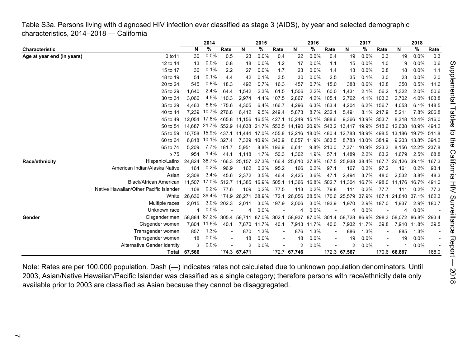<span id="page-6-0"></span>Table S3a. Persons living with diagnosed HIV infection ever classified as stage 3 (AIDS), by year and selected demographic characteristics, 2014–2018 — California

|                            |                                        |        | 2014        |            |                                       | 2015              |            |                                                                             | 2016              |                          |                                       | 2017              |                          |                                                                                                | 2018        |            |  |
|----------------------------|----------------------------------------|--------|-------------|------------|---------------------------------------|-------------------|------------|-----------------------------------------------------------------------------|-------------------|--------------------------|---------------------------------------|-------------------|--------------------------|------------------------------------------------------------------------------------------------|-------------|------------|--|
| <b>Characteristic</b>      |                                        | N      | %           | Rate       | N                                     | %                 | Rate       | N                                                                           | %                 | Rate                     | N                                     | %                 | Rate                     | N                                                                                              | ℅           | Rate       |  |
| Age at year end (in years) | 0 to 11                                | 30     | 0.0%        | 0.5        | 23                                    | 0.0%              | 0.4        | 22                                                                          | 0.0%              | 0.4                      | 19                                    | 0.0%              | 0.3                      | 19                                                                                             | 0.0%        | 0.3        |  |
|                            | 12 to 14                               | 13     | 0.0%        | 0.8        | 18                                    | 0.0%              | 1.2        | 17                                                                          | 0.0%              | 1.1                      | 15                                    | 0.0%              | 1.0                      | 9                                                                                              | 0.0%        | 0.6        |  |
|                            | 15 to 17                               | 36     | 0.1%        | 2.2        | 27                                    | 0.0%              | 1.7        | 23                                                                          | 0.0%              | 1.4                      | 13                                    | 0.0%              | 0.8                      | 18                                                                                             | 0.0%        | 1.1        |  |
|                            | 18 to 19                               | 54     | 0.1%        | 4.4        | 42                                    | 0.1%              | 3.5        | 30                                                                          | 0.0%              | 2.5                      | 35                                    | 0.1%              | 3.0                      | 23                                                                                             | 0.0%        | 2.0        |  |
|                            | 20 to 24                               | 545    | 0.8%        | 18.3       | 492                                   | 0.7%              | 16.3       | 457                                                                         | 0.7%              | 15.0                     | 388                                   | 0.6%              | 12.8                     | 350                                                                                            | 0.5%        | 11.6       |  |
|                            | 25 to 29                               | 1,640  | 2.4%        | 64.4       | 1,542                                 | 2.3%              | 61.5       | 1,506                                                                       | 2.2%              | 60.0                     | 1,431                                 | 2.1%              | 56.2                     | 1,322                                                                                          | 2.0%        | 50.6       |  |
|                            | 30 to 34                               | 3.066  | 4.5%        | 110.3      | 2.974                                 |                   | 4.4% 107.5 | 2,867                                                                       | 4.2%              | 105.1                    | 2,762                                 | 4.1%              | 103.3                    | 2,702                                                                                          | 4.0%        | 103.8      |  |
|                            | 35 to 39                               | 4.463  |             | 6.6% 175.6 | 4.305                                 |                   | 6.4% 166.7 | 4,296                                                                       | 6.3%              | 163.4                    | 4.204                                 | 6.2%              | 156.7                    | 4,053                                                                                          | 6.1%        | 148.5      |  |
|                            | 40 to 44                               | 7.239  | 10.7% 276.8 |            | 6.412                                 |                   | 9.5% 249.4 | 5,873                                                                       |                   | 8.7% 232.1               | 5,491                                 |                   | 8.1% 217.9               | 5,211                                                                                          |             | 7.8% 206.8 |  |
|                            | 45 to 49                               |        |             |            | 12.054 17.8% 465.8 11.156 16.5% 427.1 |                   |            | 10,249 15.1% 388.6                                                          |                   |                          |                                       | 9.366 13.9% 353.7 |                          | 8,318                                                                                          | 12.4% 316.0 |            |  |
|                            | 50 to 54                               |        |             |            |                                       |                   |            | 14,687 21.7% 552.9 14,638 21.7% 553.5 14,190 20.9% 543.2 13,417 19.9% 518.6 |                   |                          |                                       |                   |                          | 12.638                                                                                         | 18.9% 494.2 |            |  |
|                            | 55 to 59                               |        |             |            |                                       |                   |            |                                                                             |                   |                          |                                       |                   |                          | 10,758 15.9% 437.1 11,444 17.0% 455.8 12,216 18.0% 480.4 12,783 18.9% 498.5 13,186 19.7% 511.8 |             |            |  |
|                            | 60 to 64                               |        | 6.818 10.1% | 327.4      |                                       | 7,329 10.9% 340.9 |            |                                                                             | 8,057 11.9% 363.5 |                          |                                       | 8,783 13.0% 384.9 |                          | 9,203                                                                                          | 13.8% 394.2 |            |  |
|                            | 65 to 74                               | 5,209  |             | 7.7% 181.7 | 5,951                                 |                   | 8.8% 196.9 | 6,641                                                                       |                   | 9.8% 210.0               | 7.371                                 | 10.9% 223.2       |                          | 8,156                                                                                          | 12.2% 237.8 |            |  |
|                            | $\geq 75$                              | 954    | 1.4%        | 44.1       | 1.118                                 | 1.7%              | 50.3       | 1,302                                                                       | 1.9%              | 57.1                     | 1,489                                 | 2.2%              | 63.2                     | 1,679                                                                                          | 2.5%        | 68.8       |  |
| <b>Race/ethnicity</b>      | Hispanic/Latinx                        | 24.824 | 36.7%       |            |                                       |                   |            | 166.3 25,157 37.3% 166.4 25,610 37.8% 167.5 25,938 38.4% 167.7              |                   |                          |                                       |                   |                          | 26,126                                                                                         | 39.1% 167.3 |            |  |
|                            | American Indian/Alaska Native          | 164    | 0.2%        | 96.9       | 162                                   | $0.2\%$           | 95.2       | 166                                                                         | 0.2%              | 97.1                     | 167                                   | 0.2%              | 97.2                     | 161                                                                                            | $0.2\%$     | 93.4       |  |
|                            | Asian                                  | 2,308  | 3.4%        | 45.6       | 2,372                                 | $3.5\%$           | 46.4       | 2,425                                                                       | 3.6%              | 47.1                     | 2,494                                 | 3.7%              | 48.0                     | 2,532                                                                                          | 3.8%        | 48.3       |  |
|                            | Black/African American                 | 11,507 |             |            | 17.0% 512.7 11,385                    | 16.9% 505.1       |            | 11,366                                                                      | 16.8% 502.7       |                          | 11,304                                | 16.7%             | 498.0                    | 11,176                                                                                         | 16.7% 491.0 |            |  |
|                            | Native Hawaiian/Other Pacific Islander | 108    | 0.2%        | 77.6       | 109                                   | 0.2%              | 77.5       | 113                                                                         | 0.2%              | 79.8                     | 111                                   | 0.2%              | 77.7                     | 111                                                                                            | 0.2%        | 77.3       |  |
|                            | White                                  | 26.636 |             |            | 39.4% 174.9 26,271                    | 38.9% 172.1       |            |                                                                             |                   |                          | 26,056 38.5% 170.6 25,579 37.9% 167.1 |                   |                          | 24,840 37.1% 162.3                                                                             |             |            |  |
|                            | Multiple races                         | 2.015  |             | 3.0% 202.3 | 2,011                                 |                   | 3.0% 197.9 | 2,006                                                                       |                   | 3.0% 193.9               | 1,970                                 |                   | 2.9% 187.0               | 1,937                                                                                          |             | 2.9% 180.7 |  |
|                            | Unknown race                           | 4      | 0.0%        |            |                                       | 0.0%              |            | 4                                                                           | 0.0%              |                          | 4                                     | 0.0%              |                          | 4                                                                                              | 0.0%        |            |  |
| Gender                     | Cisgender men                          | 58.884 |             |            | 87.2% 305.4 58,711                    |                   |            | 87.0% 302.1 58.937 87.0% 301.4 58.728                                       |                   |                          |                                       |                   |                          | 86.9% 298.3 58,072                                                                             | 86.8% 293.4 |            |  |
|                            | Cisgender women                        | 7.804  | 11.6%       | 40.1       | 7,870                                 | 11.7%             | 40.1       |                                                                             | 7,913 11.7%       | 40.0                     | 7,932                                 | 11.7%             | 39.8                     |                                                                                                | 7,910 11.8% | 39.5       |  |
|                            | Transgender women                      | 857    | 1.3%        |            | 870                                   | 1.3%              |            | 876                                                                         | 1.3%              | $\overline{\phantom{m}}$ | 886                                   | 1.3%              |                          | 885                                                                                            | 1.3%        |            |  |
|                            | Transgender women                      | 18     | $0.0\%$     |            | 18                                    | 0.0%              |            | 18                                                                          | 0.0%              | $\overline{\phantom{a}}$ | 19                                    | 0.0%              | $\overline{\phantom{a}}$ | 19                                                                                             | 0.0%        |            |  |
|                            | <b>Alternative Gender Identity</b>     | 3      | 0.0%        |            | 2                                     | 0.0%              |            | $\overline{2}$                                                              | 0.0%              |                          | $\overline{2}$                        | 0.0%              |                          |                                                                                                | 0.0%        |            |  |
|                            | Total                                  | 67.566 |             |            | 174.3 67,471                          |                   |            | 172.7 67,746                                                                |                   |                          | 172.3 67,567                          |                   |                          | 170.6 66,887                                                                                   |             | 168.0      |  |

Note: Rates are per 100,000 population. Dash (—) indicates rates not calculated due to unknown population denominators. Until 2003, Asian/Native Hawaiian/Pacific Islander was classified as a single category; therefore persons with race/ethnicity data only available prior to 2003 are classified as Asian because they cannot be disaggregated.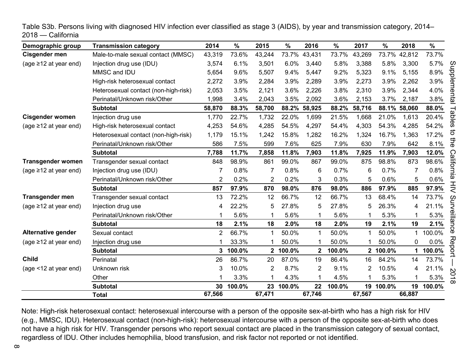| Demographic group           | <b>Transmission category</b>         | 2014           | %      | 2015           | $\%$   | 2016         | $\%$   | 2017   | %        | 2018         | $\%$                               |
|-----------------------------|--------------------------------------|----------------|--------|----------------|--------|--------------|--------|--------|----------|--------------|------------------------------------|
| Cisgender men               | Male-to-male sexual contact (MMSC)   | 43,319         | 73.6%  | 43,244         | 73.7%  | 43,431       | 73.7%  | 43,269 |          | 73.7% 42,812 | 73.7%                              |
| (age $\geq$ 12 at year end) | Injection drug use (IDU)             | 3,574          | 6.1%   | 3,501          | 6.0%   | 3,440        | 5.8%   | 3,388  | 5.8%     | 3,300        | 5.7%                               |
|                             | MMSC and IDU                         | 5,654          | 9.6%   | 5,507          | 9.4%   | 5,447        | 9.2%   | 5,323  | 9.1%     | 5,155        | 8.9%                               |
|                             | High-risk heterosexual contact       | 2,272          | 3.9%   | 2,284          | 3.9%   | 2,289        | 3.9%   | 2,273  | 3.9%     | 2,262        | 3.9%                               |
|                             | Heterosexual contact (non-high-risk) | 2,053          | 3.5%   | 2,121          | 3.6%   | 2,226        | 3.8%   | 2,310  | 3.9%     | 2,344        | 4.0%                               |
|                             | Perinatal/Unknown risk/Other         | 1,998          | 3.4%   | 2,043          | 3.5%   | 2,092        | 3.6%   | 2,153  | 3.7%     | 2,187        | Supplemental<br>3.8%               |
|                             | <b>Subtotal</b>                      | 58,870         | 88.3%  | 58,700         | 88.2%  | 58,925       | 88.2%  | 58,716 |          | 88.1% 58,060 | 88.0%                              |
| <b>Cisgender women</b>      | Injection drug use                   | 1,770          | 22.7%  | 1,732          | 22.0%  | 1,699        | 21.5%  | 1,668  | 21.0%    | 1,613        | selds<br>20.4%                     |
| (age $\geq$ 12 at year end) | High-risk heterosexual contact       | 4,253          | 54.6%  | 4,285          | 54.5%  | 4,297        | 54.4%  | 4,303  | 54.3%    | 4,285        | 54.2%                              |
|                             | Heterosexual contact (non-high-risk) | 1,179          | 15.1%  | 1,242          | 15.8%  | 1,282        | 16.2%  | 1,324  | 16.7%    | 1,363        | ៊<br>17.2%                         |
|                             | Perinatal/Unknown risk/Other         | 586            | 7.5%   | 599            | 7.6%   | 625          | 7.9%   | 630    | 7.9%     | 642          | the<br>8.1%                        |
|                             | <b>Subtotal</b>                      | 7,788          | 11.7%  | 7,858          | 11.8%  | 7,903        | 11.8%  | 7,925  | 11.9%    | 7,903        | 12.0%                              |
| <b>Transgender women</b>    | Transgender sexual contact           | 848            | 98.9%  | 861            | 99.0%  | 867          | 99.0%  | 875    | 98.8%    | 873          | California<br>98.6%                |
| (age $\geq$ 12 at year end) | Injection drug use (IDU)             | 7              | 0.8%   | 7              | 0.8%   | 6            | 0.7%   | 6      | 0.7%     |              | 0.8%                               |
|                             | Perinatal/Unknown risk/Other         | 2              | 0.2%   | $\overline{2}$ | 0.2%   | 3            | 0.3%   | 5      | 0.6%     | 5            | 0.6%                               |
|                             | <b>Subtotal</b>                      | 857            | 97.9%  | 870            | 98.0%  | 876          | 98.0%  | 886    | 97.9%    | 885          | エ<br>ミ<br>97.9%                    |
| <b>Transgender men</b>      | Transgender sexual contact           | 13             | 72.2%  | 12             | 66.7%  | 12           | 66.7%  | 13     | 68.4%    | 14           | 73.7%<br>$\omega$                  |
| (age $\geq$ 12 at year end) | Injection drug use                   | 4              | 22.2%  | 5              | 27.8%  | 5            | 27.8%  | 5      | 26.3%    | 4            | 21.1%                              |
|                             | Perinatal/Unknown risk/Other         |                | 5.6%   | 1              | 5.6%   | 1            | 5.6%   |        | 5.3%     |              | 5.3%                               |
|                             | <b>Subtotal</b>                      | 18             | 2.1%   | 18             | 2.0%   | 18           | 2.0%   | 19     | 2.1%     | 19           | urveillance<br>2.1%                |
| <b>Alternative gender</b>   | Sexual contact                       | $\overline{c}$ | 66.7%  | 1              | 50.0%  | 1            | 50.0%  |        | 50.0%    |              | 100.0%                             |
| (age $\geq$ 12 at year end) | Injection drug use                   |                | 33.3%  |                | 50.0%  | 1            | 50.0%  |        | 50.0%    | 0            | 0.0%                               |
|                             | <b>Subtotal</b>                      | 3              | 100.0% | $\mathbf{2}$   | 100.0% | $\mathbf{2}$ | 100.0% |        | 2 100.0% | 1.           | Report<br>100.0%                   |
| <b>Child</b>                | Perinatal                            | 26             | 86.7%  | 20             | 87.0%  | 19           | 86.4%  | 16     | 84.2%    | 14           | 73.7%                              |
| (age <12 at year end)       | Unknown risk                         | 3              | 10.0%  | $\overline{2}$ | 8.7%   | 2            | 9.1%   | 2      | 10.5%    | 4            | 21.1%<br>$\mathbf{v}$              |
|                             | Other                                |                | 3.3%   | 1              | 4.3%   | 1            | 4.5%   |        | 5.3%     |              | $\overline{C}$<br>5.3%<br>$\infty$ |
|                             | <b>Subtotal</b>                      | 30             | 100.0% | 23             | 100.0% | 22           | 100.0% | 19     | 100.0%   | 19           | 100.0%                             |
|                             | <b>Total</b>                         | 67,566         |        | 67,471         |        | 67,746       |        | 67,567 |          | 66,887       |                                    |

<span id="page-7-0"></span>Table S3b. Persons living with diagnosed HIV infection ever classified as stage 3 (AIDS), by year and transmission category, 2014– 2018 — California

Note: High-risk heterosexual contact: heterosexual intercourse with a person of the opposite sex-at-birth who has a high risk for HIV (e.g., MMSC, IDU). Heterosexual contact (non-high-risk): heterosexual intercourse with a person of the opposite sex-at-birth who does not have a high risk for HIV. Transgender persons who report sexual contact are placed in the transmission category of sexual contact, regardless of IDU. Other includes hemophilia, blood transfusion, and risk factor not reported or not identified.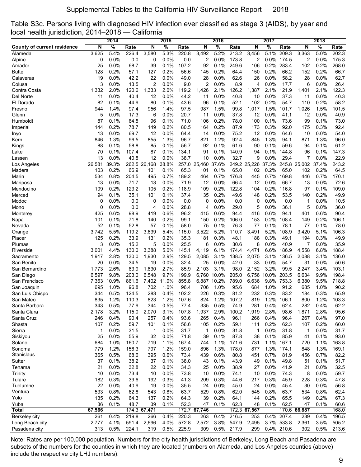<span id="page-8-0"></span>

|  | Table S3c. Persons living with diagnosed HIV infection ever classified as stage 3 (AIDS), by year and |  |  |  |  |  |
|--|-------------------------------------------------------------------------------------------------------|--|--|--|--|--|
|  | local health jurisdiction, 2014–2018 — California                                                     |  |  |  |  |  |

|                                    |            | 2014         |               |              | 2015         |               |            | 2016            |              |              | 2017         |              |              | 2018         |              |
|------------------------------------|------------|--------------|---------------|--------------|--------------|---------------|------------|-----------------|--------------|--------------|--------------|--------------|--------------|--------------|--------------|
| <b>County of current residence</b> | N          | %            | Rate          | N            | %            | Rate          | N          | $\frac{0}{6}$   | Rate         | N            | %            | Rate         | N            | %            | Rate         |
| Alameda                            | 3,625      | 5.4%         | 226.4         | 3,580        | 5.3%         | 220.8         | 3,492      | 5.2%            | 213.2        | 3.456        | 5.1%         | 209.3        | 3,363        | 5.0%         | 202.3        |
| Alpine                             | 0          | 0.0%         | 0.0           | 0            | 0.0%         | 0.0           | 2          | 0.0%            | 173.8        | 2            |              | 0.0% 174.5   | 2            | 0.0%         | 175.3        |
| Amador                             | 25         | 0.0%         | 68.7          | 39           | 0.1%         | 107.2         | 92         | 0.1%            | 249.6        | 106          | 0.2%         | 283.4        | 102          | 0.2%         | 268.0        |
| Butte                              | 128        | 0.2%         | 57.1          | 127          | 0.2%         | 56.6          | 145        | 0.2%            | 64.4         | 150          | 0.2%         | 66.2         | 152          | 0.2%         | 66.7         |
| Calaveras                          | 19         | 0.0%         | 42.2          | 22           | 0.0%         | 49.0          | 28         | 0.0%            | 62.6         | 26           | 0.0%         | 58.2         | 28           | 0.0%         | 62.7         |
| Colusa                             | 3          | 0.0%         | 13.5          | 2            | 0.0%         | 9.0           | 2          | 0.0%            | 8.9          | 4            | 0.0%         | 17.7         | 6            | 0.0%         | 26.4         |
| Contra Costa                       | 1,332      | 2.0%         | 120.6         | 1,333        | 2.0%         | 119.2         | 1,426      | 2.1%            | 126.2        | 1,387        | 2.1%         | 121.9        | 1,401        | 2.1%         | 122.3        |
| Del Norte                          | 11         | 0.0%         | 40.4          | 12           | 0.0%         | 44.2          | 11         | 0.0%            | 40.8         | 10           | 0.0%         | 37.3         | 11           | 0.0%         | 40.3         |
| El Dorado                          | 82         | 0.1%         | 44.9          | 80           | 0.1%         | 43.6          | 96         | 0.1%            | 52.1         | 102          | 0.2%         | 54.7         | 110          | 0.2%         | 58.2         |
| Fresno                             | 944        | 1.4%         | 97.4          | 956          | 1.4%         | 97.5          | 987        | 1.5%            | 99.8         | 1,017        | 1.5%         | 101.7        | 1,026        | 1.5%         | 101.5        |
| Glenn                              | 5          | 0.0%<br>0.1% | 17.3          | 6            | 0.0%         | 20.7<br>71.0  | 11         | $0.0\%$<br>0.2% | 37.8<br>78.0 | 12           | 0.0%<br>0.1% | 41.1<br>73.6 | 12           | 0.0%<br>0.1% | 40.9<br>73.0 |
| Humboldt                           | 87<br>144  | 0.2%         | 64.5<br>78.7  | 96<br>149    | 0.1%<br>0.2% | 80.5          | 106<br>164 | 0.2%            | 87.9         | 100<br>173   | 0.3%         | 92.0         | 99<br>175    | 0.3%         | 92.4         |
| Imperial                           | 13         | 0.0%         | 69.7          | 12           | 0.0%         | 64.4          | 14         | $0.0\%$         | 75.2         | 12           | $0.0\%$      | 64.6         | 10           | 0.0%         | 54.0         |
| Inyo<br>Kern                       | 846        | 1.3%         | 96.5          | 855          | 1.3%         | 96.7          | 821        | 1.2%            | 92.4         | 845          | 1.3%         | 94.1         | 871          | 1.3%         | 96.0         |
| Kings                              | 88         | 0.1%         | 58.8          | 85           | 0.1%         | 56.7          | 92         | 0.1%            | 61.6         | 90           | 0.1%         | 59.6         | 94           | 0.1%         | 61.2         |
| Lake                               | 70         | 0.1%         | 107.4         | 87           | 0.1%         | 134.1         | 91         | 0.1%            | 140.9        | 94           | $0.1\%$      | 144.8        | 96           | 0.1%         | 147.3        |
| Lassen                             | 13         | 0.0%         | 40.8          | 12           | 0.0%         | 38.7          | 10         | 0.0%            | 32.7         | 9            | $0.0\%$      | 29.4         | 7            | $0.0\%$      | 22.9         |
| Los Angeles                        | 26,581     | 39.3%        |               | 262.5 26,168 | 38.8%        | 257.0         | 25,460     | 37.6%           |              | 249.2 25,226 | 37.3%        |              | 245.8 25,002 | 37.4%        | 243.2        |
| Madera                             | 103        | 0.2%         | 66.9          | 101          | 0.1%         | 65.3          | 101        | 0.1%            | 65.0         | 102          | 0.2%         | 65.0         | 102          | 0.2%         | 64.5         |
| Marin                              | 534        | 0.8%         | 204.5         | 495          | 0.7%         | 189.2         | 464        | 0.7%            | 176.8        | 445          | 0.7%         | 169.8        | 446          | 0.7%         | 170.1        |
| Mariposa                           | 13         | 0.0%         | 71.7          | 13           | 0.0%         | 71.9          | 12         | 0.0%            | 66.4         | 12           | $0.0\%$      | 66.7         | 13           | 0.0%         | 72.6         |
| Mendocino                          | 109        | 0.2%         | 123.2         | 105          | 0.2%         | 118.9         | 109        | 0.2%            | 122.8        | 104          | 0.2%         | 116.8        | 97           | 0.1%         | 109.0        |
| Merced                             | 94         | 0.1%         | 35.1          | 101          | 0.1%         | 37.4          | 135        | 0.2%            | 49.6         | 148          | 0.2%         | 53.5         | 140          | 0.2%         | 49.9         |
| Modoc                              | 0          | 0.0%         | 0.0           | 0            | 0.0%         | 0.0           | 0          | 0.0%            | 0.0          | 0            | 0.0%         | 0.0          | 1            | 0.0%         | 10.5         |
| Mono                               | 0          | 0.0%         | 0.0           | 4            | 0.0%         | 28.8          | 4          | $0.0\%$         | 29.0         | 5            | 0.0%         | 36.1         | 5            | 0.0%         | 36.0         |
| Monterey                           | 425        | 0.6%         | 98.9          | 419          | 0.6%         | 96.2          | 415        | 0.6%            | 94.4         | 416          | 0.6%         | 94.1         | 401          | 0.6%         | 90.4         |
| Napa                               | 101        | 0.1%         | 71.8          | 140          | 0.2%         | 99.1          | 150        | 0.2%            | 106.0        | 153          | 0.2%         | 108.4        | 149          | 0.2%         | 106.1        |
| Nevada                             | 52         | 0.1%         | 52.8          | 57           | 0.1%         | 58.0          | 75         | 0.1%            | 76.3         | 77           | 0.1%         | 78.1         | 77           | 0.1%         | 78.0         |
| Orange                             | 3,742      | 5.5%         | 119.2         | 3,639        | 5.4%         | 115.0         | 3,522      | 5.2%            | 110.7        | 3,491        | 5.2%         | 108.9        | 3,420        | 5.1%         | 106.3        |
| Placer                             | 125        | 0.2%         | 33.9          | 131          | 0.2%         | 35.3          | 181        | 0.3%            | 48.1         | 188          | 0.3%         | 49.1         | 194          | 0.3%         | 49.9         |
| Plumas                             | 3          | 0.0%         | 15.2          | 5            | 0.0%         | 25.5          | 6          | 0.0%            | 30.6         | 8            | 0.0%         | 40.9         | 7            | 0.0%         | 35.9         |
| Riverside                          | 3,001      | 4.4%         | 130.0         | 3,388        | 5.0%         | 145.1         | 4,119      | 6.1%            | 174.4        | 4,471        | 6.6%         | 186.9        | 4,558        | 6.8%         | 188.4        |
| Sacramento                         | 1,917      | 2.8%         | 130.0         | 1,930        | 2.9%         | 129.5         | 2,085      | 3.1%            | 138.5        | 2,075        | 3.1%         | 136.5        | 2,088        | 3.1%         | 136.0        |
| San Benito                         | 20         | 0.0%         | 34.5          | 19           | 0.0%         | 32.4          | 25         | 0.0%            | 42.0         | 33           | 0.0%         | 54.7         | 31           | 0.0%         | 50.6         |
| San Bernardino                     | 1,773      | 2.6%         | 83.9          | 1,830        | 2.7%         | 85.9          | 2.103      | 3.1%            | 98.0         | 2,152        | 3.2%         | 99.5         | 2,247        | 3.4%         | 103.1        |
| San Diego                          | 6,597      | 9.8%         | 203.0         | 6,548        | 9.7%         | 199.9         | 6,760      | 10.0%           | 205.0        | 6,756        | 10.0% 203.5  |              | 6,634        | 9.9%         | 198.4        |
| San Francisco                      | 7,363      | 10.9%        | 861.6         | 7,402        | 11.0%        | 855.8         |            | 6,887 10.2%     | 789.0        | 6,636        |              | 9.8% 753.3   | 6,380        | 9.5%<br>1.0% | 718.8        |
| San Joaquin<br>San Luis Obispo     | 695<br>344 | 1.0%<br>0.5% | 96.8<br>124.5 | 702<br>283   | 1.0%<br>0.4% | 96.4<br>102.2 | 706<br>226 | 1.0%<br>0.3%    | 95.6<br>81.2 | 684<br>232   | 1.0%<br>0.3% | 91.2<br>83.2 | 685<br>184   | 0.3%         | 90.2<br>65.9 |
| San Mateo                          | 835        | 1.2%         | 110.3         | 823          | 1.2%         | 107.6         | 824        | 1.2%            | 107.2        | 819          |              | 1.2% 106.1   | 800          | 1.2%         | 103.3        |
| Santa Barbara                      | 343        | 0.5%         | 77.9          | 344          | 0.5%         | 77.4          | 335        | 0.5%            | 74.9         | 281          | 0.4%         | 62.4         | 282          | 0.4%         | 62.2         |
| Santa Clara                        | 2,178      | 3.2%         | 115.0         | 2,070        | 3.1%         | 107.8         | 1,937      | 2.9%            | 100.2        | 1,919        | 2.8%         | 98.6         | 1,871        | 2.8%         | 95.6         |
| Santa Cruz                         | 246        | 0.4%         | 90.4          | 257          | 0.4%         | 93.6          | 265        | 0.4%            | 96.1         | 266          | 0.4%         | 96.4         | 267          | 0.4%         | 97.0         |
| Shasta                             | 107        | 0.2%         | 59.7          | 101          | 0.1%         | 56.6          | 105        | 0.2%            | 59.1         | 111          | 0.2%         | 62.3         | 107          | 0.2%         | 60.0         |
| Sierra                             | 1          | 0.0%         | 31.5          | 1            | 0.0%         | 31.7          | 1          | 0.0%            | 31.8         | 1            | 0.0%         | 31.8         | 1            | 0.0%         | 31.7         |
| Siskiyou                           | 25         | 0.0%         | 55.9          | 32           | 0.0%         | 71.8          | 39         | 0.1%            | 87.8         | 38           | 0.1%         | 85.9         | 41           | 0.1%         | 93.0         |
| Solano                             | 684        | 1.0%         | 160.7         | 719          | 1.1%         | 167.4         | 744        | 1.1%            | 171.6        | 731          |              | 1.1% 167.1   | 720          | 1.1%         | 163.8        |
| Sonoma                             | 779        | 1.2%         | 156.3         | 797          | 1.2%         | 159.0         | 896        | 1.3%            | 178.0        | 877          |              | 1.3% 174.1   | 848          | 1.3%         | 169.1        |
| Stanislaus                         | 365        | 0.5%         | 68.6          | 395          | 0.6%         | 73.4          | 439        | 0.6%            | 80.8         | 451          | 0.7%         | 81.9         | 456          | 0.7%         | 82.2         |
| Sutter                             | 37         | 0.1%         | 38.2          | 37           | 0.1%         | 38.0          | 43         | 0.1%            | 43.9         | 49           | 0.1%         | 49.8         | 51           | 0.1%         | 51.7         |
| Tehama                             | 21         | 0.0%         | 32.8          | 22           | 0.0%         | 34.3          | 25         | 0.0%            | 38.9         | 27           | 0.0%         | 41.9         | 21           | 0.0%         | 32.5         |
| <b>Trinity</b>                     | 10         | 0.0%         | 73.4          | 10           | 0.0%         | 73.8          | 10         | 0.0%            | 74.1         | 10           | 0.0%         | 74.3         | 8            | 0.0%         | 59.7         |
| Tulare                             | 182        | 0.3%         | 39.6          | 192          | 0.3%         | 41.3          | 209        | 0.3%            | 44.6         | 217          | 0.3%         | 45.9         | 228          | 0.3%         | 47.8         |
| Tuolumne                           | 22         | 0.0%         | 40.9          | 19           | 0.0%         | 35.5          | 24         | 0.0%            | 45.0         | 24           | 0.0%         | 45.4         | 30           | 0.0%         | 56.8         |
| Ventura                            | 533        | 0.8%         | 62.8          | 543          | 0.8%         | 63.7          | 529        | 0.8%            | 62.0         | 545          | 0.8%         | 63.7         | 534          | 0.8%         | 62.4         |
| Yolo                               | 135        | 0.2%         | 64.3          | 137          | 0.2%         | 64.3          | 139        | 0.2%            | 64.1         | 144          | 0.2%         | 65.5         | 149          | 0.2%         | 67.3         |
| Yuba                               | 36         | 0.1%         | 48.7          | 39           | 0.1%         | 52.3          | 47         | 0.1%            | 62.3         | 48           | 0.1%         | 62.5         | 47           | 0.1%         | 60.6         |
| <b>Total</b>                       | 67,566     |              |               | 174.3 67,471 |              | 172.7         | 67,746     |                 |              | 172.3 67,567 |              |              | 170.6 66,887 |              | 168.0        |
| Berkeley city                      | 261        | 0.4%         | 219.8         | 266          | 0.4%         | 220.3         | 263        | 0.4%            | 216.5        | 253          |              | 0.4% 207.4   | 239          | 0.4%         | 196.5        |
| Long Beach city                    | 2,777      | 4.1%         | 591.4         | 2,696        | 4.0%         | 572.8         | 2,572      | 3.8%            | 547.9        | 2,495        |              | 3.7% 533.8   | 2,361        | 3.5%         | 505.2        |
| Pasadena city                      | 313        | 0.5%         | 224.1         | 319          | 0.5%         | 225.9         | 309        | 0.5%            | 217.9        | 299          |              | 0.4% 210.6   | 302          | 0.5%         | 213.6        |

Note: Rates are per 100,000 population. Numbers for the city health jurisdictions of Berkeley, Long Beach and Pasadena are subsets of the numbers for the counties in which they are located (numbers on Alameda, and Los Angeles counties (above) include the respective city LHJ numbers).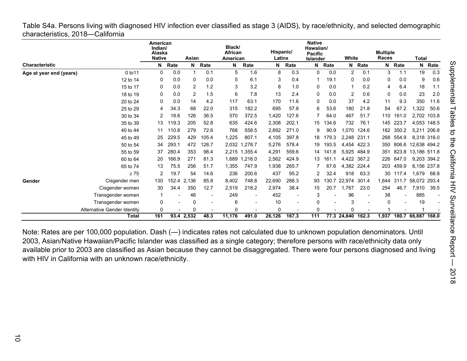<span id="page-9-0"></span>Table S4a. Persons living with diagnosed HIV infection ever classified as stage 3 (AIDS), by race/ethnicity, and selected demographic characteristics, 2018—California

|                         |                             | American<br>Indian/<br>Alaska<br><b>Native</b> |       | Asian        |       | Black/<br>African<br>American |         | Hispanic/<br>Latinx |       | <b>Native</b><br>Hawaiian/<br><b>Pacific</b><br><b>Islander</b> |       | White             |             | <b>Multiple</b><br>Races |       | <b>Total</b>       |             |
|-------------------------|-----------------------------|------------------------------------------------|-------|--------------|-------|-------------------------------|---------|---------------------|-------|-----------------------------------------------------------------|-------|-------------------|-------------|--------------------------|-------|--------------------|-------------|
| <b>Characteristic</b>   |                             | N                                              | Rate  | N            | Rate  | N                             | Rate    | N                   | Rate  | N                                                               | Rate  |                   | N Rate      | N                        | Rate  | N                  | Rate        |
| Age at year end (years) | 0 to 11                     | 0                                              | 0.0   |              | 0.1   | 5                             | 1.6     | 8                   | 0.3   | 0                                                               | 0.0   | $\overline{2}$    | 0.1         | 3                        | 1.1   | 19                 | 0.3         |
|                         | 12 to 14                    | 0                                              | 0.0   | 0            | 0.0   | 5                             | 6.1     | 3                   | 0.4   | 1                                                               | 19.1  | 0                 | 0.0         | 0                        | 0.0   | 9                  | 0.6         |
|                         | 15 to 17                    | 0                                              | 0.0   | 2            | 1.2   | 3                             | 3.2     | 8                   | 1.0   | 0                                                               | 0.0   |                   | 0.2         | 4                        | 6.4   | 18                 | 1.1         |
|                         | 18 to 19                    | 0                                              | 0.0   | 2            | 1.5   | 6                             | 7.8     | 13                  | 2.4   | 0                                                               | 0.0   | $\overline{2}$    | 0.6         | 0                        | 0.0   | 23                 | 2.0         |
|                         | 20 to 24                    | 0                                              | 0.0   | 14           | 4.2   | 117                           | 63.1    | 170                 | 11.6  | 0                                                               | 0.0   | 37                | 4.2         | 11                       | 9.3   | 350                | 11.6        |
|                         | 25 to 29                    | 4                                              | 34.3  | 68           | 22.0  | 315                           | 182.2   | 695                 | 57.8  | 6                                                               | 53.6  | 180               | 21.8        | 54                       | 67.2  | ,322               | 50.6        |
|                         | 30 to 34                    | 2                                              | 18.6  | 126          | 36.5  | 570                           | 372.5   | 1,420               | 127.6 | 7                                                               | 64.0  | 467               | 51.7        | 110                      | 161.0 |                    | 2,702 103.8 |
|                         | 35 to 39                    | 13                                             | 119.3 | 205          | 52.8  | 635                           | 424.6   | 2,308               | 202.1 | 15                                                              | 134.6 | 732               | 76.1        | 145                      | 223.7 |                    | 4,053 148.5 |
|                         | 40 to 44                    | 11                                             | 110.8 | 279          | 72.6  | 768                           | 558.5   | 2,892               | 271.0 | 9                                                               | 90.9  | 1.070             | 124.6       | 182                      | 350.2 |                    | 5,211 206.8 |
|                         | 45 to 49                    | 25                                             | 229.5 | 429          | 105.4 | 1,225                         | 807.1   | 4,105               | 397.8 | 18                                                              | 179.3 | 2.248             | 231.1       | 268                      | 554.9 |                    | 8,318 316.0 |
|                         | 50 to 54                    | 34                                             | 293.1 | 472          | 128.7 | 2,032                         | 1,278.7 | 5,276               | 578.4 | 19                                                              | 193.5 |                   | 4,454 422.3 | 350                      | 806.6 | 12,638 494.2       |             |
|                         | 55 to 59                    | 37                                             | 280.4 | 353          | 98.4  | 2,215                         | 1,355.4 | 4,291               | 559.6 | 14                                                              | 141.8 | 5,925             | 484.9       | 351                      | 823.8 | 13,186 511.8       |             |
|                         | 60 to 64                    | 20                                             | 166.9 | 271          | 81.3  | 1.689                         | 1,216.0 | 2,562               | 424.9 | 13                                                              | 161.1 |                   | 4,422 367.2 | 226                      | 647.0 |                    | 9,203 394.2 |
|                         | 65 to 74                    | 13                                             | 75.5  | 256          | 51.7  | 1.355                         | 747.9   | 1,938               | 265.7 |                                                                 | 67.6  | 4,382             | 224.4       | 203                      | 459.9 | 8.156              | 237.8       |
|                         | $\geq 75$                   | 2                                              | 19.7  | 54           | 14.6  | 236                           | 200.6   | 437                 | 95.2  | 2                                                               | 32.4  | 918               | 63.3        | 30                       | 117.4 | 1,679              | 68.8        |
| Gender                  | Cisgender men               | 130                                            | 152.4 | 2,136        | 85.8  | 8,402                         | 748.8   | 22,690              | 288.3 | 93                                                              | 130.7 | 22,974            | 301.4       | 1,644                    | 311.7 | 58,072 293.4       |             |
|                         | Cisgender women             | 30                                             | 34.4  | 350          | 12.7  | 2,519                         | 218.2   | 2,974               | 38.4  | 15                                                              | 20.7  | 1.767             | 23.0        | 254                      | 46.7  | 7,910              | 39.5        |
|                         | Transgender women           | 1                                              |       | 46           | ٠     | 249                           | ٠       | 452                 |       | 3                                                               |       | 96                |             | 38                       |       | 885                |             |
|                         | Transgender women           | 0                                              |       | 0            |       | 6                             |         | 10                  |       | 0                                                               |       | 3                 |             | 0                        |       | 19                 |             |
|                         | Alternative Gender Identity | 0                                              |       | $\mathbf{0}$ |       | 0                             |         | 0                   |       | 0                                                               |       | O                 |             |                          |       |                    |             |
|                         | <b>Total</b>                | 161                                            |       | 93.4 2,532   | 48.3  | 11,176                        | 491.0   | 26,126              | 167.3 | 111                                                             |       | 77.3 24,840 162.3 |             | 1,937                    |       | 180.7 66.887 168.0 |             |

Note: Rates are per 100,000 population. Dash (—) indicates rates not calculated due to unknown population denominators. Until 2003, Asian/Native Hawaiian/Pacific Islander was classified as a single category; therefore persons with race/ethnicity data only available prior to 2003 are classified as Asian because they cannot be disaggregated. There were four persons diagnosed and living with HIV in California with an unknown race/ethnicity.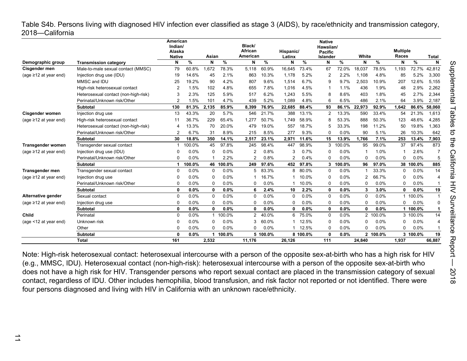<span id="page-10-0"></span>Table S4b. Persons living with diagnosed HIV infection ever classified as stage 3 (AIDS), by race/ethnicity and transmission category, 2018—California

|                             |                                      | American<br>Indian/ |        |              |        | Black/         |          |           |          | <b>Native</b><br>Hawaiian/ |        |          |          |                 |          |              |
|-----------------------------|--------------------------------------|---------------------|--------|--------------|--------|----------------|----------|-----------|----------|----------------------------|--------|----------|----------|-----------------|----------|--------------|
|                             |                                      | Alaska              |        |              |        | African        |          | Hispanic/ |          | <b>Pacific</b>             |        |          |          | <b>Multiple</b> |          |              |
|                             |                                      | <b>Native</b>       |        | Asian        |        | American       |          | Latinx    |          | Islander                   |        | White    |          | Races           |          | <b>Total</b> |
| Demographic group           | <b>Transmission category</b>         | N                   | %      | N            | %      | N              | %        | N         | %        | N                          | %      | N        | $\%$     | N               | %        | N            |
| Cisgender men               | Male-to-male sexual contact (MMSC)   | 79                  | 60.8%  | 1,672        | 78.3%  | 5,118          | 60.9%    | 16,645    | 73.4%    | 67                         | 72.0%  | 18,037   | 78.5%    | 1,193           | 72.7%    | 42,812       |
| (age $\geq$ 12 at year end) | Injection drug use (IDU)             | 19                  | 14.6%  | 45           | 2.1%   | 863            | 10.3%    | 1.178     | 5.2%     | 2                          | 2.2%   | 1.108    | 4.8%     | 85              | 5.2%     | 3,300        |
|                             | MMSC and IDU                         | 25                  | 19.2%  | 90           | 4.2%   | 807            | 9.6%     | 1,514     | 6.7%     | 9                          | 9.7%   | 2.503    | 10.9%    | 207             | 12.6%    | 5.155        |
|                             | High-risk heterosexual contact       | 2                   | 1.5%   | 102          | 4.8%   | 655            | 7.8%     | 1,016     | 4.5%     | 1                          | 1.1%   | 436      | 1.9%     | 48              | 2.9%     | 2,262        |
|                             | Heterosexual contact (non-high-risk) | 3                   | 2.3%   | 125          | 5.9%   | 517            | 6.2%     | 1,243     | 5.5%     | 8                          | 8.6%   | 403      | 1.8%     | 45              | 2.7%     | 2,344        |
|                             | Perinatal/Unknown risk/Other         | $\overline{2}$      | 1.5%   | 101          | 4.7%   | 439            | 5.2%     | 1.089     | 4.8%     | 6                          | 6.5%   | 486      | 2.1%     | 64              | 3.9%     | 2,187        |
|                             | Subtotal                             | 130                 | 81.3%  | 2,135        | 85.9%  | 8,399          | 76.9%    | 22,685    | 88.4%    | 93                         | 86.1%  | 22,973   | 92.9%    | 1.642           | 86.6%    | 58,060       |
| <b>Cisgender women</b>      | Injection drug use                   | 13                  | 43.3%  | 20           | 5.7%   | 546            | 21.7%    | 388       | 13.1%    | 2                          | 13.3%  | 590      | 33.4%    | 54              | 21.3%    | 1.613        |
| (age $\geq$ 12 at year end) | High-risk heterosexual contact       | 11                  | 36.7%  | 229          | 65.4%  | 1,277          | 50.7%    | 1.749     | 58.9%    | 8                          | 53.3%  | 888      | 50.3%    | 123             | 48.6%    | 4,285        |
|                             | Heterosexual contact (non-high-risk) | Δ                   | 13.3%  | 70           | 20.0%  | 479            | 19.0%    | 557       | 18.7%    | 5                          | 33.3%  | 198      | 11.2%    | 50              | 19.8%    | 1,363        |
|                             | Perinatal/Unknown risk/Other         | 2                   | 6.7%   | 31           | 8.9%   | 215            | 8.5%     | 277       | 9.3%     | $\Omega$                   | 0.0%   | 90       | 5.1%     | 26              | 10.3%    | 642          |
|                             | Subtotal                             | 30                  | 18.8%  | 350          | 14.1%  | 2,517          | 23.1%    | 2,971     | 11.6%    | 15                         | 13.9%  | 1.766    | 7.1%     | 253             | 13.4%    | 7,903        |
| <b>Transgender women</b>    | Transgender sexual contact           |                     | 100.0% | 45           | 97.8%  | 245            | 98.4%    | 447       | 98.9%    | 3                          | 100.0% | 95       | 99.0%    | 37              | 97.4%    | 873          |
| (age $\geq$ 12 at year end) | Injection drug use (IDU)             |                     | 0.0%   | $\Omega$     | 0.0%   | $\overline{2}$ | 0.8%     | 3         | 0.7%     | 0                          | 0.0%   | -1       | 1.0%     |                 | 2.6%     |              |
|                             | Perinatal/Unknown risk/Other         | $\Omega$            | 0.0%   |              | 2.2%   | 2              | 0.8%     | 2         | 0.4%     | $\Omega$                   | 0.0%   | $\Omega$ | 0.0%     | $\Omega$        | 0.0%     | 5            |
|                             | Subtotal                             | -1                  | 100.0% | 46           | 100.0% | 249            | 97.6%    | 452       | 97.8%    | 3                          | 100.0% | 96       | 97.0%    | 38              | 100.0%   | 885          |
| <b>Transgender men</b>      | Transgender sexual contact           | $\Omega$            | 0.0%   | $\Omega$     | 0.0%   | 5              | 83.3%    | 8         | 80.0%    | $\Omega$                   | 0.0%   |          | 33.3%    | $\Omega$        | 0.0%     | 14           |
| (age $\geq$ 12 at year end) | Injection drug use                   | $\Omega$            | 0.0%   | $\Omega$     | 0.0%   |                | 16.7%    |           | 10.0%    | $\Omega$                   | 0.0%   | 2        | 66.7%    | $\Omega$        | 0.0%     | 4            |
|                             | Perinatal/Unknown risk/Other         | $\Omega$            | 0.0%   | $\Omega$     | 0.0%   | 0              | 0.0%     |           | 10.0%    | $\Omega$                   | 0.0%   | $\Omega$ | 0.0%     | $\Omega$        | 0.0%     |              |
|                             | <b>Subtotal</b>                      | 0                   | 0.0%   | $\mathbf{0}$ | 0.0%   | 6              | 2.4%     | 10        | 2.2%     | 0                          | 0.0%   | 3        | 3.0%     | $\mathbf{0}$    | $0.0\%$  | 19           |
| Alternative gender          | Sexual contact                       | $\Omega$            | 0.0%   | $\Omega$     | 0.0%   | 0              | 0.0%     | 0         | 0.0%     | $\Omega$                   | 0.0%   | $\Omega$ | 0.0%     |                 | 100.0%   |              |
| (age $\geq$ 12 at year end) | Injection drug use                   | <sup>0</sup>        | 0.0%   | $\Omega$     | 0.0%   | $\Omega$       | 0.0%     | 0         | 0.0%     | 0                          | 0.0%   | 0        | 0.0%     | U               | 0.0%     | 0            |
|                             | <b>Subtotal</b>                      | 0                   | 0.0%   | $\mathbf{0}$ | 0.0%   | 0              | $0.0\%$  | 0         | 0.0%     | 0                          | 0.0%   | 0        | 0.0%     |                 | 100.0%   |              |
| Child                       | Perinatal                            | $\Omega$            | 0.0%   |              | 100.0% | 2              | 40.0%    | 6         | 75.0%    | $\mathbf 0$                | 0.0%   |          | 2 100.0% | 3               | 100.0%   | 14           |
| (age <12 at year end)       | Unknown risk                         | $\Omega$            | 0.0%   | $\Omega$     | 0.0%   | 3              | 60.0%    |           | 12.5%    | 0                          | 0.0%   | 0        | 0.0%     | 0               | 0.0%     |              |
|                             | Other                                |                     | 0.0%   | $\Omega$     | 0.0%   | 0              | 0.0%     |           | 12.5%    | $\mathbf 0$                | 0.0%   | 0        | 0.0%     | U               | $0.0\%$  |              |
|                             | Subtotal                             | O                   | 0.0%   |              | 100.0% |                | 5 100.0% |           | 8 100.0% | $\mathbf{0}$               | 0.0%   |          | 2 100.0% |                 | 3 100.0% | 19           |
|                             | Total                                | 161                 |        | 2,532        |        | 11,176         |          | 26.126    |          | 111                        |        | 24,840   |          | 1,937           |          | 66.887       |

Note: High-risk heterosexual contact: heterosexual intercourse with a person of the opposite sex-at-birth who has a high risk for HIV (e.g., MMSC, IDU). Heterosexual contact (non-high-risk): heterosexual intercourse with a person of the opposite sex-at-birth who does not have a high risk for HIV. Transgender persons who report sexual contact are placed in the transmission category of sexual contact, regardless of IDU. Other includes hemophilia, blood transfusion, and risk factor not reported or not identified. There were four persons diagnosed and living with HIV in California with an unknown race/ethnicity.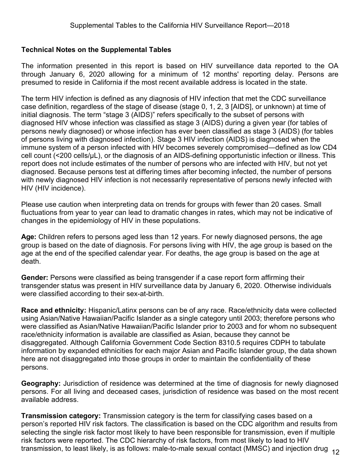### <span id="page-11-0"></span>**Technical Notes on the Supplemental Tables**

The information presented in this report is based on HIV surveillance data reported to the OA through January 6, 2020 allowing for a minimum of 12 months' reporting delay. Persons are presumed to reside in California if the most recent available address is located in the state.

The term HIV infection is defined as any diagnosis of HIV infection that met the CDC surveillance case definition, regardless of the stage of disease (stage 0, 1, 2, 3 [AIDS], or unknown) at time of initial diagnosis. The term "stage 3 (AIDS)" refers specifically to the subset of persons with diagnosed HIV whose infection was classified as stage 3 (AIDS) during a given year (for tables of persons newly diagnosed) or whose infection has ever been classified as stage 3 (AIDS) (for tables of persons living with diagnosed infection). Stage 3 HIV infection (AIDS) is diagnosed when the immune system of a person infected with HIV becomes severely compromised―defined as low CD4 cell count (<200 cells/µL), or the diagnosis of an AIDS-defining opportunistic infection or illness. This report does not include estimates of the number of persons who are infected with HIV, but not yet diagnosed. Because persons test at differing times after becoming infected, the number of persons with newly diagnosed HIV infection is not necessarily representative of persons newly infected with HIV (HIV incidence).

Please use caution when interpreting data on trends for groups with fewer than 20 cases. Small fluctuations from year to year can lead to dramatic changes in rates, which may not be indicative of changes in the epidemiology of HIV in these populations.

**Age:** Children refers to persons aged less than 12 years. For newly diagnosed persons, the age group is based on the date of diagnosis. For persons living with HIV, the age group is based on the age at the end of the specified calendar year. For deaths, the age group is based on the age at death.

**Gender:** Persons were classified as being transgender if a case report form affirming their transgender status was present in HIV surveillance data by January 6, 2020. Otherwise individuals were classified according to their sex-at-birth.

**Race and ethnicity:** Hispanic/Latinx persons can be of any race. Race/ethnicity data were collected using Asian/Native Hawaiian/Pacific Islander as a single category until 2003; therefore persons who were classified as Asian/Native Hawaiian/Pacific Islander prior to 2003 and for whom no subsequent race/ethnicity information is available are classified as Asian, because they cannot be disaggregated. Although California Government Code Section 8310.5 requires CDPH to tabulate information by expanded ethnicities for each major Asian and Pacific Islander group, the data shown here are not disaggregated into those groups in order to maintain the confidentiality of these persons.

**Geography:** Jurisdiction of residence was determined at the time of diagnosis for newly diagnosed persons. For all living and deceased cases, jurisdiction of residence was based on the most recent available address.

**Transmission category:** Transmission category is the term for classifying cases based on a person's reported HIV risk factors. The classification is based on the CDC algorithm and results from selecting the single risk factor most likely to have been responsible for transmission, even if multiple risk factors were reported. The CDC hierarchy of risk factors, from most likely to lead to HIV transmission, to least likely, is as follows: male-to-male sexual contact (MMSC) and injection drug 12